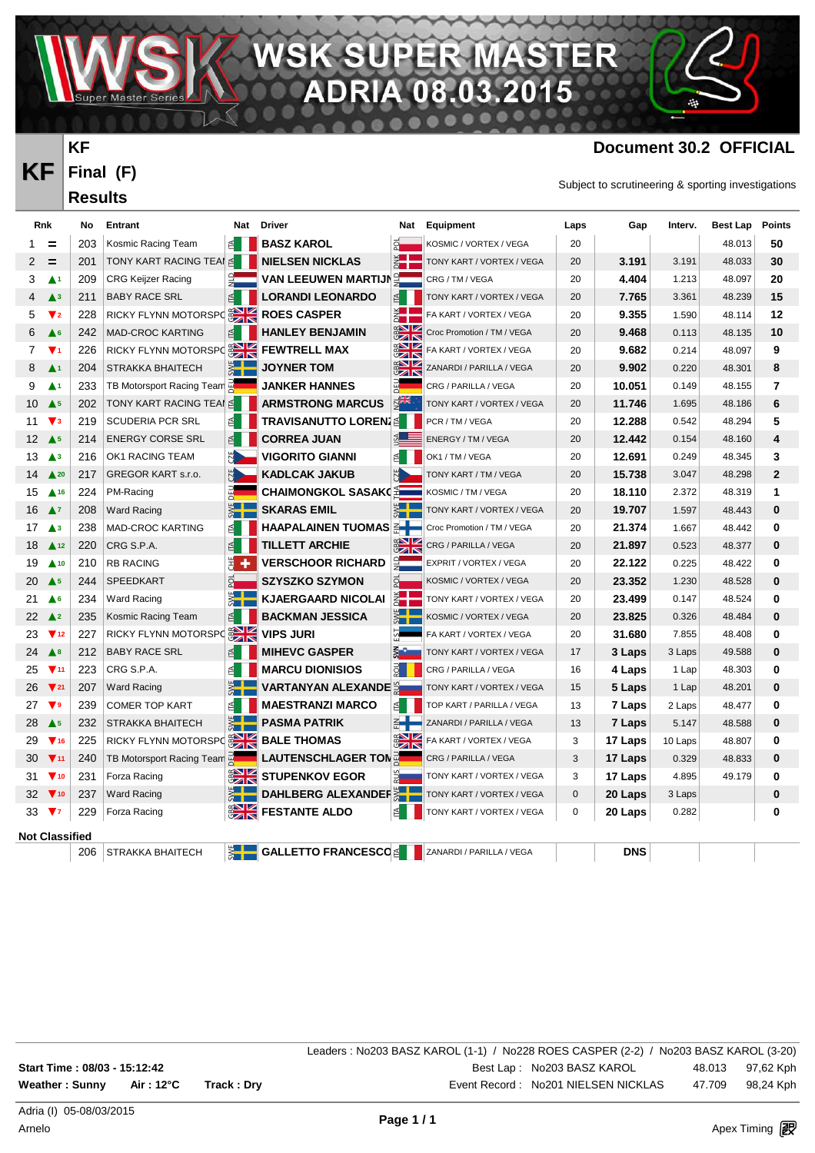**PER MA** 08.03

VAV.

#### **Document 30.2 OFFICIAL**

 $\mathcal{M}_{\mathcal{A}}$ 

Subject to scrutineering & sporting investigations

R Ξ

| <b>Rnk</b>                  |                               | No  | Entrant                                     |                  | Nat Driver                 | Nat                               | Equipment                      | Laps | Gap        | Interv. | Best Lap | <b>Points</b>  |
|-----------------------------|-------------------------------|-----|---------------------------------------------|------------------|----------------------------|-----------------------------------|--------------------------------|------|------------|---------|----------|----------------|
| 1.                          | =                             | 203 | Kosmic Racing Team                          | 1 ≧              | <b>BASZ KAROL</b>          | ā                                 | KOSMIC / VORTEX / VEGA         | 20   |            |         | 48.013   | 50             |
| 2                           | $=$                           | 201 | TONY KART RACING TEAI ≦                     |                  | <b>NIELSEN NICKLAS</b>     | $\frac{1}{2}$                     | TONY KART / VORTEX / VEGA      | 20   | 3.191      | 3.191   | 48.033   | 30             |
| 3                           | $\blacktriangle$ 1            | 209 | CRG Keijzer Racing                          |                  | <b>VAN LEEUWEN MARTIJN</b> | $\frac{1}{2}$                     | CRG / TM / VEGA                | 20   | 4.404      | 1.213   | 48.097   | 20             |
| 4                           | $\blacktriangle$ <sub>3</sub> | 211 | <b>BABY RACE SRL</b>                        | E                | <b>LORANDI LEONARDO</b>    | ₫                                 | TONY KART / VORTEX / VEGA      | 20   | 7.765      | 3.361   | 48.239   | 15             |
| 5.                          | $\blacktriangledown$ 2        | 228 | RICKY FLYNN MOTORSPO <b>EXAMPLES CASPER</b> |                  |                            | Ž.                                | FA KART / VORTEX / VEGA        | 20   | 9.355      | 1.590   | 48.114   | 12             |
| 6                           | A <sub>6</sub>                | 242 | <b>MAD-CROC KARTING</b>                     | $\triangleq$     | <b>HANLEY BENJAMIN</b>     | <b>SHE</b>                        | Croc Promotion / TM / VEGA     | 20   | 9.468      | 0.113   | 48.135   | 10             |
| 7                           | $\blacktriangledown_1$        | 226 | RICKY FLYNN MOTORSPO                        |                  | <b>FEWTRELL MAX</b>        |                                   | <b>FA KART / VORTEX / VEGA</b> | 20   | 9.682      | 0.214   | 48.097   | 9              |
| 8                           | $\blacktriangle$ 1            | 204 | <b>STRAKKA BHAITECH</b>                     | E<br>Sepanj      | <b>JOYNER TOM</b>          | <b>SHE</b>                        | ZANARDI / PARILLA / VEGA       | 20   | 9.902      | 0.220   | 48.301   | 8              |
| 9                           | $\blacktriangle$ 1            | 233 | TB Motorsport Racing Team                   |                  | <b>JANKER HANNES</b>       |                                   | CRG / PARILLA / VEGA           | 20   | 10.051     | 0.149   | 48.155   | 7              |
| 10                          | $\triangle$ <sup>5</sup>      | 202 | TONY KART RACING TEAI ≦                     |                  | <b>ARMSTRONG MARCUS</b>    | $E_{\text{max}}$                  | TONY KART / VORTEX / VEGA      | 20   | 11.746     | 1.695   | 48.186   | 6              |
| 11                          | $\mathbf{V}$ <sub>3</sub>     | 219 | <b>SCUDERIA PCR SRL</b>                     |                  | TRAVISANUTTO LOREN. ≦      |                                   | PCR / TM / VEGA                | 20   | 12.288     | 0.542   | 48.294   | 5              |
| 12 <sup>12</sup>            | $\triangle$ <sub>5</sub>      | 214 | <b>ENERGY CORSE SRL</b>                     | 舀                | <b>CORREA JUAN</b>         |                                   | ENERGY / TM / VEGA             | 20   | 12.442     | 0.154   | 48.160   | 4              |
| 13                          | $\triangle^3$                 | 216 | OK1 RACING TEAM                             | 례                | <b>VIGORITO GIANNI</b>     | ₫                                 | OK1 / TM / VEGA                | 20   | 12.691     | 0.249   | 48.345   | 3              |
| 14                          | $\triangle 20$                | 217 | <b>GREGOR KART s.r.o.</b>                   |                  | KADLCAK JAKUB              |                                   | TONY KART / TM / VEGA          | 20   | 15.738     | 3.047   | 48.298   | $\overline{2}$ |
| 15                          | $\triangle$ 16                | 224 | PM-Racing                                   |                  | CHAIMONGKOL SASAK(         | $\frac{d\mathbf{r}}{d\mathbf{r}}$ | KOSMIC / TM / VEGA             | 20   | 18.110     | 2.372   | 48.319   | 1              |
| 16                          | $\blacktriangle$ 7            | 208 | <b>Ward Racing</b>                          | $\frac{1}{2}$    | <b>SKARAS EMIL</b>         | $rac{1}{2}$                       | TONY KART / VORTEX / VEGA      | 20   | 19.707     | 1.597   | 48.443   | 0              |
| 17                          | $\blacktriangle^3$            | 238 | <b>MAD-CROC KARTING</b>                     | 舀                | HAAPALAINEN TUOMAS         |                                   | Croc Promotion / TM / VEGA     | 20   | 21.374     | 1.667   | 48.442   | 0              |
| 18                          | $\triangle$ 12                | 220 | CRG S.P.A.                                  | ₫                | <b>TILLETT ARCHIE</b>      | $rac{1}{2}$                       | CRG / PARILLA / VEGA           | 20   | 21.897     | 0.523   | 48.377   | 0              |
| 19                          | $\triangle$ 10                | 210 | <b>RB RACING</b>                            | ₩,               | <b>VERSCHOOR RICHARD</b>   |                                   | EXPRIT / VORTEX / VEGA         | 20   | 22.122     | 0.225   | 48.422   | 0              |
| 20                          | $\triangle$ <sub>5</sub>      | 244 | <b>SPEEDKART</b>                            | 화                | <b>SZYSZKO SZYMON</b>      | 합                                 | KOSMIC / VORTEX / VEGA         | 20   | 23.352     | 1.230   | 48.528   | 0              |
| 21                          | ▲6                            | 234 | <b>Ward Racing</b>                          |                  | <b>KJAERGAARD NICOLAI</b>  | žH                                | TONY KART / VORTEX / VEGA      | 20   | 23.499     | 0.147   | 48.524   | $\bf{0}$       |
|                             | 22 $\triangle$ 2              | 235 | Kosmic Racing Team                          | 昏                | <b>BACKMAN JESSICA</b>     |                                   | KOSMIC / VORTEX / VEGA         | 20   | 23.825     | 0.326   | 48.484   | 0              |
| 23                          | $\Psi$ 12                     | 227 | RICKY FLYNN MOTORSPC                        |                  | <b>VIPS JURI</b>           | 51                                | FA KART / VORTEX / VEGA        | 20   | 31.680     | 7.855   | 48.408   | 0              |
| 24 $\triangle$ <sup>8</sup> |                               | 212 | <b>BABY RACE SRL</b>                        | $\mathbf{E}$     | <b>MIHEVC GASPER</b>       | $5^{\circ}$                       | TONY KART / VORTEX / VEGA      | 17   | 3 Laps     | 3 Laps  | 49.588   | 0              |
| 25                          | $\Psi$ 11                     | 223 | CRG S.P.A.                                  | 칍                | <b>MARCU DIONISIOS</b>     | <u>ğ</u>                          | CRG / PARILLA / VEGA           | 16   | 4 Laps     | 1 Lap   | 48.303   | 0              |
| 26                          | $\Psi$ 21                     | 207 | Ward Racing                                 | SML              | <b>VARTANYAN ALEXANDE</b>  | $\frac{2}{3}$                     | TONY KART / VORTEX / VEGA      | 15   | 5 Laps     | 1 Lap   | 48.201   | 0              |
| 27                          | $\mathbf{v}$                  | 239 | <b>COMER TOP KART</b>                       | 舀                | <b>MAESTRANZI MARCO</b>    | ₫                                 | TOP KART / PARILLA / VEGA      | 13   | 7 Laps     | 2 Laps  | 48.477   | 0              |
| 28                          | $\triangle$ <sub>5</sub>      | 232 | <b>STRAKKA BHAITECH</b>                     | $\sum_{i=1}^{n}$ | <b>PASMA PATRIK</b>        |                                   | ZANARDI / PARILLA / VEGA       | 13   | 7 Laps     | 5.147   | 48.588   | 0              |
| 29                          | $\Psi$ 16                     | 225 | RICKY FLYNN MOTORSPC                        |                  | <b>BALE THOMAS</b>         | <b>exk</b>                        | FA KART / VORTEX / VEGA        | 3    | 17 Laps    | 10 Laps | 48.807   | 0              |
| 30                          | $\Psi$ <sub>11</sub>          | 240 | TB Motorsport Racing Team                   |                  | LAUTENSCHLAGER TON         |                                   | CRG / PARILLA / VEGA           | 3    | 17 Laps    | 0.329   | 48.833   | 0              |
| 31.                         | $\Psi$ 10                     | 231 | Forza Racing                                | $rac{1}{2}$      | <b>STUPENKOV EGOR</b>      |                                   | TONY KART / VORTEX / VEGA      | 3    | 17 Laps    | 4.895   | 49.179   | 0              |
| 32                          | $\Psi$ <sub>10</sub>          | 237 | <b>Ward Racing</b>                          |                  | DAHLBERG ALEXANDER         |                                   | TONY KART / VORTEX / VEGA      | 0    | 20 Laps    | 3 Laps  |          | 0              |
| 33                          | V <sub>7</sub>                | 229 | Forza Racing                                |                  | <b>FESTANTE ALDO</b>       | 1≦                                | TONY KART / VORTEX / VEGA      | 0    | 20 Laps    | 0.282   |          | 0              |
|                             | Not Classified                |     |                                             |                  |                            |                                   |                                |      |            |         |          |                |
|                             |                               | 206 | <b>STRAKKA BHAITECH</b>                     |                  | <b>GALLETTO FRANCESCOS</b> |                                   | ZANARDI / PARILLA / VEGA       |      | <b>DNS</b> |         |          |                |

|                              |             | Leaders: No203 BASZ KAROL (1-1) / No228 ROES CASPER (2-2) / No203 BASZ KAROL (3-20) |                  |
|------------------------------|-------------|-------------------------------------------------------------------------------------|------------------|
| Start Time: 08/03 - 15:12:42 |             | Best Lap: No203 BASZ KAROL                                                          | 48.013 97,62 Kph |
| Weather: Sunny Air: 12°C     | Track : Drv | Event Record: No201 NIELSEN NICKLAS                                                 | 47.709 98,24 Kph |

**KF**

**KF**

**Final (F) Results**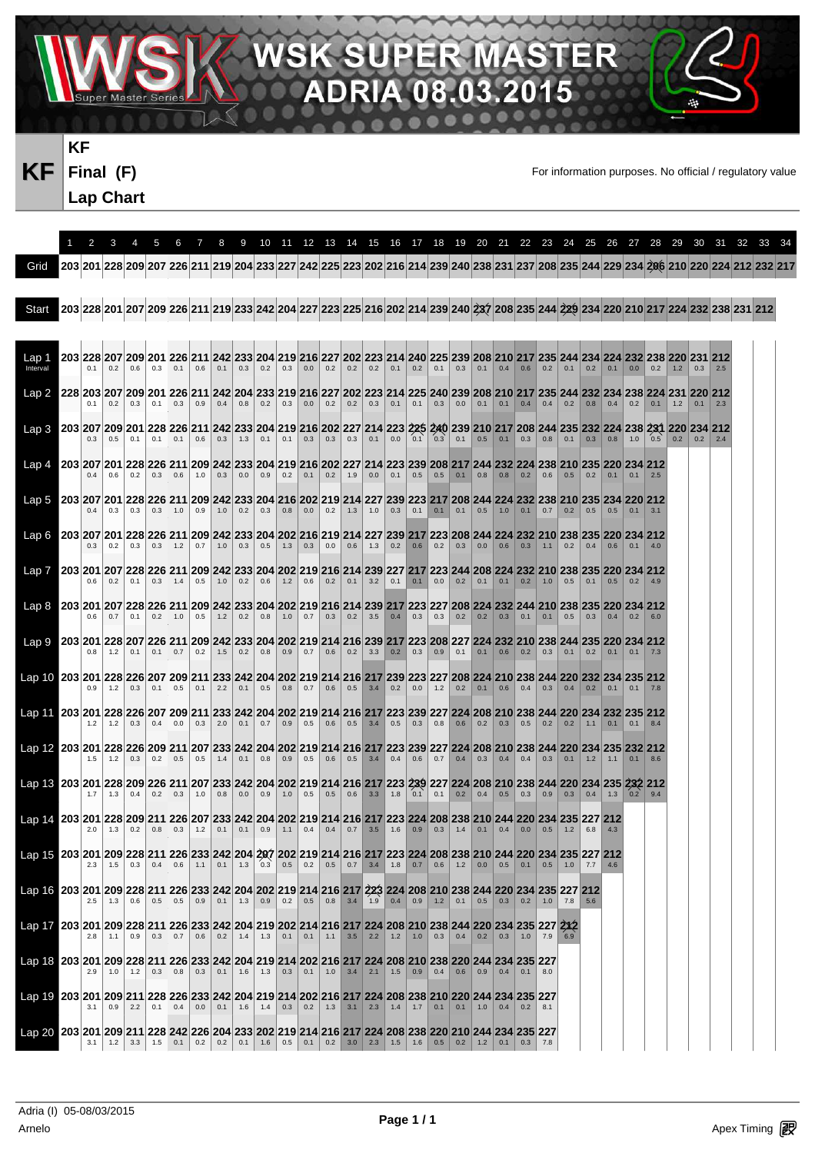**SK** SUPER MA 08.03

VAV.

**KF Final (F) Lap Chart** 

**KF** Final (F) **Final** For information purposes. No official / regulatory value

癌

R Ξ

5

|                                                                                                                                                                                                                                           | 2   | 3          | 4         | 5                          | 6         | 7                 | 8                               | 9           |                                                                                                                                                                  |     |           |                   |           |                                                                                        |             |                   |                             |                   |     |                   |                   |           |                                           |           |                       |             |     |     |                   | 10 11 12 13 14 15 16 17 18 19 20 21 22 23 24 25 26 27 28 29 30 31 32 33 34                                                                                          |  |
|-------------------------------------------------------------------------------------------------------------------------------------------------------------------------------------------------------------------------------------------|-----|------------|-----------|----------------------------|-----------|-------------------|---------------------------------|-------------|------------------------------------------------------------------------------------------------------------------------------------------------------------------|-----|-----------|-------------------|-----------|----------------------------------------------------------------------------------------|-------------|-------------------|-----------------------------|-------------------|-----|-------------------|-------------------|-----------|-------------------------------------------|-----------|-----------------------|-------------|-----|-----|-------------------|---------------------------------------------------------------------------------------------------------------------------------------------------------------------|--|
| Grid                                                                                                                                                                                                                                      |     |            |           |                            |           |                   |                                 |             |                                                                                                                                                                  |     |           |                   |           |                                                                                        |             |                   |                             |                   |     |                   |                   |           |                                           |           |                       |             |     |     |                   | 203 201 228 209 207 226 211 219 204 233 227 242 225 223 202 216 214 239 240 238 231 237 208 235 244 229 234 206 210 220 224 212 232 217                             |  |
| Start                                                                                                                                                                                                                                     |     |            |           |                            |           |                   |                                 |             |                                                                                                                                                                  |     |           |                   |           |                                                                                        |             |                   |                             |                   |     |                   |                   |           |                                           |           |                       |             |     |     |                   | 203  228  201  207  209  226  211  219  233  242  204  227  223  225  216  202  214  239  240  237  208  235  244  229  234  220  210  217  224  232  238  231  212 |  |
| Lap 1<br>Interval                                                                                                                                                                                                                         | 0.1 | 0.2        | 0.6       | 0.3                        | 0.1       | 0.6               |                                 | $0.1 \ 0.3$ | 203  228  207  209  201  226  211  242  233  204  219  216  227  202  223  214  240  225  239  208  210  217  235  244  234  234  232  238  220  231  212<br>0.2 | 0.3 | 0.0       |                   |           | $0.2$   0.2   0.2   0.1   0.2   0.1   0.3   0.1   0.4   0.6   0.2                      |             |                   |                             |                   |     |                   |                   |           | $0.1 \ 0.2$                               |           | $0.1 \ 0.0$           |             | 0.2 | 1.2 | 0.3               |                                                                                                                                                                     |  |
| Lap 2                                                                                                                                                                                                                                     |     | 0.2        | 0.3       |                            | $0.1$ 0.3 | $\vert 0.9 \vert$ |                                 |             | 228 203 207 209 201 226 211 242 204 233 219 216 227 202 223 214 225 240 239 208 210 217 235 244 232 234 238 224 231 220 212<br>$0.4$ 0.8 0.2                     | 0.3 |           |                   |           | $0.0$   0.2   0.2   0.3   0.1   0.1   0.3   0.0                                        |             |                   |                             |                   |     |                   |                   |           | $0.1$ 0.1 0.4 0.4 0.2 0.8 0.4 0.2 0.1 1.2 |           |                       |             |     |     |                   |                                                                                                                                                                     |  |
| Lap 3 203 207 209 201 228 226 211 242 233 204 219 216 202 227 214 223 225 240 239 210 217 208 244 235 232 224 238 231 220 234 212                                                                                                         |     | 0.5        | 0.1       | 0.1                        | 0.1       | 0.6               |                                 | $0.3$   1.3 | 0.1                                                                                                                                                              | 0.1 |           | $0.3$ 0.3         | 0.3       | 0.1                                                                                    | 0.0         | 0.1               |                             | $0.3$ 0.1         | 0.5 | $\vert 0.1 \vert$ |                   |           | $0.3$ 0.8 0.1 0.3                         |           | $\vert 0.8 \vert 1.0$ |             |     |     | $0.5$ 0.2 0.2 2.4 |                                                                                                                                                                     |  |
|                                                                                                                                                                                                                                           | 0.4 | 0.6        | 0.2       | 0.3                        | 0.6       | 1.0               | 0.3                             | 0.0         | 0.9                                                                                                                                                              | 0.2 | 0.1       | 0.2               | 1.9       | 0.0                                                                                    | 0.1         | 0.5               | $\vert 0.5 \vert$           | $\vert 0.1 \vert$ |     |                   | $0.8$ 0.8 0.2     | 0.6       | 0.5                                       | 0.2       | $\vert 0.1 \vert$     | $\vert 0.1$ |     |     |                   |                                                                                                                                                                     |  |
| 203 207 203 207 201 228 226 211 209 242 233 204 216 202 219 214 227 239 223 217 208 244 224 232 238 210 235 234 220 212                                                                                                                   | 0.4 | 0.3        |           | $0.3$ 0.3 1.0              |           | 0.9               |                                 |             |                                                                                                                                                                  |     |           |                   |           |                                                                                        |             |                   |                             |                   |     |                   |                   |           | $0.7$ 0.2 0.5 0.5 0.1 3.1                 |           |                       |             |     |     |                   |                                                                                                                                                                     |  |
| Lao 6 203 207 201 228 226 211 209 242 233 204 202 216 219 214 227 239 217 223 208 244 224 232 210 238 235 220 234 212                                                                                                                     | 0.3 | 0.2        | 0.3       |                            | $0.3$ 1.2 |                   | $0.7$ 1.0 0.3 0.5               |             |                                                                                                                                                                  | 1.3 | 0.3       | 0.0               | 0.6       | 1.3                                                                                    | $0.2 \ 0.6$ |                   |                             | $0.2$ 0.3         |     | $0.0$ 0.6 0.3     |                   | 1.1       | 0.2                                       | 0.4       | 0.6                   |             |     |     |                   |                                                                                                                                                                     |  |
| <u>Lap 7   203 201 207 228 226 211 209 242 233 204 202 219 216 214 239 227 217 223 244 208 224 232 210 238 235 220 234 212</u>                                                                                                            |     | 0.2        | 0.1       |                            | $0.3$ 1.4 | 0.5               | $\vert$ 1.0 $\vert$             | 0.2         | 0.6                                                                                                                                                              | 1.2 | 0.6       |                   | $0.2$ 0.1 | 3.2                                                                                    | 0.1         | 0.1               | 0.0                         | 0.2               |     |                   | $0.1$ 0.1 0.2 1.0 |           | 0.5                                       | 0.1       | 0.5                   | 0.2         |     |     |                   |                                                                                                                                                                     |  |
| 212 203 204 212 204 212 226 226 212 239 242 233 204 202 219 216 214 239 217 223 227 208 224 232 244 210 238 235 220 234 212                                                                                                               | 0.6 | 0.7        | 0.1       |                            | $0.2$ 1.0 |                   |                                 |             | $0.5$   1.2   0.2   0.8   1.0   0.7   0.3   0.2   3.5   0.4   0.3                                                                                                |     |           |                   |           |                                                                                        |             |                   | $\vert 0.3 \vert$           |                   |     | $0.2$ 0.2 0.3     |                   | $0.1$ 0.1 |                                           |           | $0.5$ 0.3 0.4 0.2 6.0 |             |     |     |                   |                                                                                                                                                                     |  |
|                                                                                                                                                                                                                                           | 0.8 | 1.2        | 0.1       | 0.1                        | 0.7       | 0.2               | 1.5                             | 0.2         | 0.8                                                                                                                                                              | 0.9 | 0.7       | 0.6               | 0.2       | 3.3                                                                                    | 0.2         | 0.3               | 0.9                         | 0.1               |     | $0.1 \ 0.6$       | 0.2               | 0.3       | 0.1                                       | 0.2       | 0.1                   |             |     |     |                   |                                                                                                                                                                     |  |
| <u>Lap 10   203 201 228 226 207 209 211 233 242 204 202 219 214 216 217 239 223 227 208 224 210 238 244 220 232 234 235 212</u>                                                                                                           | 0.9 | 1.2        | 0.3       | 0.1                        | 0.5       | 0.1               | 2.2                             | 0.1         | 0.5                                                                                                                                                              |     |           |                   |           | $0.8$ 0.7 0.6 0.5 3.4 0.2                                                              |             | $\vert 0.0 \vert$ | $1.2$ 0.2                   |                   |     | $0.1$ 0.6         | 0.4               |           | $0.3$ 0.4 0.2 0.1 0.1                     |           |                       |             | 7.8 |     |                   |                                                                                                                                                                     |  |
| 203 201 228 226 207 209 211 233 242 204 202 219 214 216 217 223 239 227 224 208 210 238 244 220 234 232 235 212<br>Lap 12 203 201 228 226 209 211 207 233 242 204 202 219 214 216 217 223 239 227 224 208 210 238 244 220 234 235 232 212 |     | $1.2$ 1.2  | 0.3       | 0.4                        | 0.0       | 0.3               | 2.0                             |             | $0.1 \ 0.7$                                                                                                                                                      | 0.9 |           |                   |           | $0.5$ 0.6 0.5 3.4 0.5                                                                  |             |                   | $0.3$ 0.8                   | $\vert 0.6 \vert$ |     |                   |                   |           | $0.2$ 0.3 0.5 0.2 0.2 1.1 0.1             |           |                       | 0.1         | 8.4 |     |                   |                                                                                                                                                                     |  |
| Lap 13   203   201   228   209   226   211   207   233   242   204   202   219   214   216   217   223   239   227   224   208   210   238   244   220   234   235   232   212                                                            | 1.5 | 1.2        | 0.3       |                            | $0.2$ 0.5 |                   |                                 |             | $0.5$ 1.4 0.1 0.8                                                                                                                                                |     | $0.9$ 0.5 |                   |           | $0.6$ 0.5 3.4 0.4                                                                      |             |                   | $0.6$ 0.7 0.4 0.3 0.4       |                   |     |                   | 0.4               | 0.3       | 0.1                                       | 1.2       | 1.1                   | 0.1         | 8.6 |     |                   |                                                                                                                                                                     |  |
| Lap 14, 203 201 228 209 211 226 207 233 242 204 202 219 214 216 217 223 224 208 238 210 244 220 234 235 227 212                                                                                                                           |     | 1.3        | 0.4       |                            | $0.2$ 0.3 | $\vert$ 1.0       | $0.8$ 0.0                       |             | 0.9                                                                                                                                                              | 1.0 | 0.5       |                   |           | $0.5$ 0.6 3.3 1.8 0.1 0.1 0.2 0.4 0.5                                                  |             |                   |                             |                   |     |                   | 0.3               | 0.9       | 0.3                                       | 0.4       | 1.3                   | $0.2$ 9.4   |     |     |                   |                                                                                                                                                                     |  |
| 1216 203 201 209 228 211 226 233 242 204 207 202 219 214 216 217 223 224 208 238 210 244 220 234 235 227 212                                                                                                                              | 2.0 | 1.3        | $0.2$ 0.8 |                            | 0.3       | $\vert$ 1.2       | $\vert$ 0.1 $\vert$             | 0.1         | 0.9                                                                                                                                                              |     |           |                   |           | $1.1$ 0.4 0.4 0.7 3.5 1.6 0.9 0.3 1.4                                                  |             |                   |                             |                   | 0.1 |                   | $0.4$ 0.0 0.5     |           | $\vert$ 1.2 $\vert$                       | 6.8       |                       |             |     |     |                   |                                                                                                                                                                     |  |
| Lap 16   203   201   209   228   211   226   233   242   204   202   219   214   216   217   223   224   208   210   238   244   220   234   235   227   212                                                                              | 2.3 | 1.5        | 0.3       |                            | $0.4$ 0.6 |                   |                                 |             |                                                                                                                                                                  |     |           |                   |           |                                                                                        |             |                   |                             |                   |     |                   |                   | 0.5       | 1.0                                       | $7.7$ 4.6 |                       |             |     |     |                   |                                                                                                                                                                     |  |
| Lap 17 203 201 209 228 211 226 233 242 204 219 202 214 216 217 224 208 210 238 244 220 234 235 227 2X2                                                                                                                                    | 2.8 | 1.3<br>1.1 |           | $0.6$ 0.5<br>$0.9$ 0.3 0.7 | 0.5       |                   |                                 |             | $0.6$ 0.2 1.4 1.3                                                                                                                                                |     |           |                   |           | $0.2$ 0.5 0.8 3.4 1.9 0.4 0.9<br>$0.1$   0.1   1.1   3.5   2.2   1.2   1.0   0.3   0.4 |             |                   | $\vert 1.2 \vert 0.1 \vert$ |                   | 0.2 |                   | $0.3$ 1.0 7.9     |           | $0.5$ 0.3 0.2 1.0 7.8 5.6                 |           |                       |             |     |     |                   |                                                                                                                                                                     |  |
| Lap 18 203 201 209 228 211 226 233 242 204 219 214 202 216 217 224 208 210 238 220 244 234 235 227                                                                                                                                        | 2.9 | 1.0        |           | $1.2$ 0.3 0.8              |           |                   |                                 |             | $0.3$ 0.1 1.6 1.3                                                                                                                                                |     |           | $0.3$ 0.1 1.0 3.4 |           | $\vert 2.1 \vert$                                                                      | $1.5$ 0.9   |                   | 0.4                         |                   |     | $0.6$ 0.9 0.4     | 0.1               | 8.0       |                                           |           |                       |             |     |     |                   |                                                                                                                                                                     |  |
| Lap 19 203 201 209 211 228 226 233 242 204 219 214 202 216 217 224 208 238 210 220 244 234 235 227                                                                                                                                        |     | 0.9        | 2.2       | 0.1                        | 0.4       | 0.0               | $\vert 0.1 \vert 1.6 \vert 1.4$ |             |                                                                                                                                                                  | 0.3 |           |                   |           | $0.2$   1.3   3.1   2.3   1.4   1.7                                                    |             |                   | 0.1                         | 0.1               |     | $1.0 \ 0.4$       | $0.2$ 8.1         |           |                                           |           |                       |             |     |     |                   |                                                                                                                                                                     |  |
| Lap 20 203 201 209 211 228 242 226 204 233 202 219 214 216 217 224 208 238 220 210 244 234 235 227                                                                                                                                        | 3.1 | 1.2        | 3.3       | 1.5                        | 0.1       |                   | $0.2$ 0.2 0.1 1.6               |             |                                                                                                                                                                  | 0.5 |           |                   |           |                                                                                        |             |                   |                             |                   |     |                   |                   |           |                                           |           |                       |             |     |     |                   |                                                                                                                                                                     |  |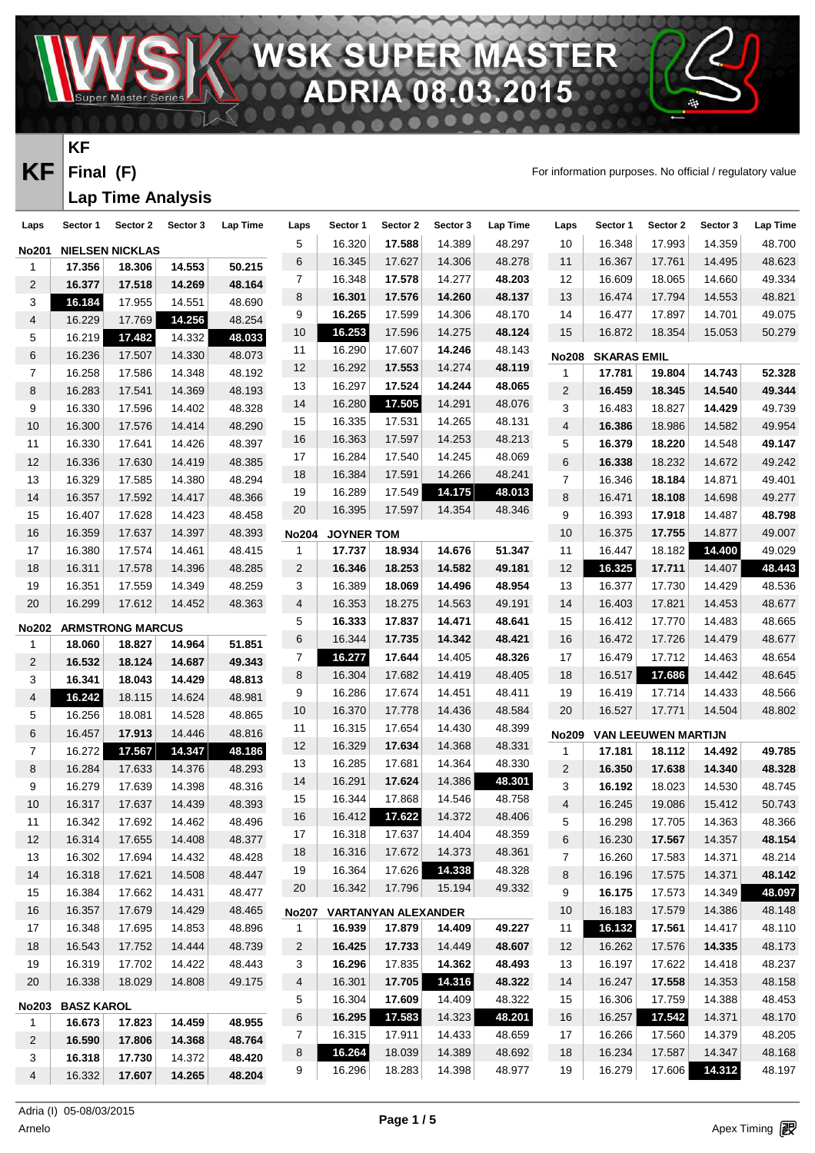**PER-MA** ′≜ n

**KF**

**Final (F)**

**Lap Time Analysis** 

VAV

**KF** Final (F) **Final** For information purposes. No official / regulatory value

癌

R

Ξ

| Laps                        | Sector 1          | Sector 2                          | Sector 3 | Lap Time | Laps           | Sector 1          | Sector 2                   | Sector 3 | Lap Time | Laps                     | Sector 1           | Sector 2            | Sector 3 | <b>Lap Time</b> |
|-----------------------------|-------------------|-----------------------------------|----------|----------|----------------|-------------------|----------------------------|----------|----------|--------------------------|--------------------|---------------------|----------|-----------------|
| <b>No201</b>                |                   | <b>NIELSEN NICKLAS</b>            |          |          | 5              | 16.320            | 17.588                     | 14.389   | 48.297   | 10                       | 16.348             | 17.993              | 14.359   | 48.700          |
| 1                           | 17.356            | 18.306                            | 14.553   | 50.215   | 6              | 16.345            | 17.627                     | 14.306   | 48.278   | 11                       | 16.367             | 17.761              | 14.495   | 48.623          |
| 2                           | 16.377            | 17.518                            | 14.269   | 48.164   | 7              | 16.348            | 17.578                     | 14.277   | 48.203   | 12                       | 16.609             | 18.065              | 14.660   | 49.334          |
| 3                           | 16.184            | 17.955                            | 14.551   | 48.690   | 8              | 16.301            | 17.576                     | 14.260   | 48.137   | 13                       | 16.474             | 17.794              | 14.553   | 48.821          |
| 4                           | 16.229            | 17.769                            | 14.256   | 48.254   | 9              | 16.265            | 17.599                     | 14.306   | 48.170   | 14                       | 16.477             | 17.897              | 14.701   | 49.075          |
| 5                           | 16.219            | 17.482                            | 14.332   | 48.033   | 10             | 16.253            | 17.596                     | 14.275   | 48.124   | 15                       | 16.872             | 18.354              | 15.053   | 50.279          |
| 6                           | 16.236            | 17.507                            | 14.330   | 48.073   | 11             | 16.290            | 17.607                     | 14.246   | 48.143   | <b>No208</b>             | <b>SKARAS EMIL</b> |                     |          |                 |
| $\overline{7}$              | 16.258            | 17.586                            | 14.348   | 48.192   | 12             | 16.292            | 17.553                     | 14.274   | 48.119   | 1                        | 17.781             | 19.804              | 14.743   | 52.328          |
| 8                           | 16.283            | 17.541                            | 14.369   | 48.193   | 13             | 16.297            | 17.524                     | 14.244   | 48.065   | $\mathbf{2}$             | 16.459             | 18.345              | 14.540   | 49.344          |
| 9                           | 16.330            | 17.596                            | 14.402   | 48.328   | 14             | 16.280            | 17.505                     | 14.291   | 48.076   | 3                        | 16.483             | 18.827              | 14.429   | 49.739          |
| 10                          | 16.300            | 17.576                            | 14.414   | 48.290   | 15             | 16.335            | 17.531                     | 14.265   | 48.131   | $\overline{\mathcal{L}}$ | 16.386             | 18.986              | 14.582   | 49.954          |
| 11                          | 16.330            | 17.641                            | 14.426   | 48.397   | 16             | 16.363            | 17.597                     | 14.253   | 48.213   | 5                        | 16.379             | 18.220              | 14.548   | 49.147          |
| 12                          | 16.336            | 17.630                            | 14.419   | 48.385   | 17             | 16.284            | 17.540                     | 14.245   | 48.069   | 6                        | 16.338             | 18.232              | 14.672   | 49.242          |
| 13                          | 16.329            | 17.585                            | 14.380   | 48.294   | 18             | 16.384            | 17.591                     | 14.266   | 48.241   | $\overline{7}$           | 16.346             | 18.184              | 14.871   | 49.401          |
| 14                          | 16.357            | 17.592                            | 14.417   | 48.366   | 19             | 16.289            | 17.549                     | 14.175   | 48.013   | 8                        | 16.471             | 18.108              | 14.698   | 49.277          |
| 15                          | 16.407            | 17.628                            | 14.423   | 48.458   | 20             | 16.395            | 17.597                     | 14.354   | 48.346   | 9                        | 16.393             | 17.918              | 14.487   | 48.798          |
| 16                          | 16.359            | 17.637                            | 14.397   | 48.393   | <b>No204</b>   | <b>JOYNER TOM</b> |                            |          |          | 10                       | 16.375             | 17.755              | 14.877   | 49.007          |
| $17$                        | 16.380            | 17.574                            | 14.461   | 48.415   | 1              | 17.737            | 18.934                     | 14.676   | 51.347   | 11                       | 16.447             | 18.182              | 14.400   | 49.029          |
| 18                          | 16.311            | 17.578                            | 14.396   | 48.285   | $\overline{2}$ | 16.346            | 18.253                     | 14.582   | 49.181   | 12                       | 16.325             | 17.711              | 14.407   | 48.443          |
| 19                          | 16.351            | 17.559                            | 14.349   | 48.259   | 3              | 16.389            | 18.069                     | 14.496   | 48.954   | 13                       | 16.377             | 17.730              | 14.429   | 48.536          |
| $20\,$                      | 16.299            | 17.612                            | 14.452   | 48.363   | $\overline{4}$ | 16.353            | 18.275                     | 14.563   | 49.191   | 14                       | 16.403             | 17.821              | 14.453   | 48.677          |
|                             |                   |                                   |          |          | 5              | 16.333            | 17.837                     | 14.471   | 48.641   | 15                       | 16.412             | 17.770              | 14.483   | 48.665          |
| <b>No202</b><br>$\mathbf 1$ | 18.060            | <b>ARMSTRONG MARCUS</b><br>18.827 | 14.964   | 51.851   | 6              | 16.344            | 17.735                     | 14.342   | 48.421   | 16                       | 16.472             | 17.726              | 14.479   | 48.677          |
| 2                           | 16.532            | 18.124                            | 14.687   | 49.343   | $\overline{7}$ | 16.277            | 17.644                     | 14.405   | 48.326   | 17                       | 16.479             | 17.712              | 14.463   | 48.654          |
| 3                           | 16.341            | 18.043                            | 14.429   | 48.813   | 8              | 16.304            | 17.682                     | 14.419   | 48.405   | 18                       | 16.517             | 17.686              | 14.442   | 48.645          |
| 4                           | 16.242            | 18.115                            | 14.624   | 48.981   | 9              | 16.286            | 17.674                     | 14.451   | 48.411   | 19                       | 16.419             | 17.714              | 14.433   | 48.566          |
| 5                           | 16.256            | 18.081                            | 14.528   | 48.865   | 10             | 16.370            | 17.778                     | 14.436   | 48.584   | 20                       | 16.527             | 17.771              | 14.504   | 48.802          |
| 6                           | 16.457            | 17.913                            | 14.446   | 48.816   | 11             | 16.315            | 17.654                     | 14.430   | 48.399   | <b>No209</b>             |                    | VAN LEEUWEN MARTIJN |          |                 |
| $\overline{7}$              | 16.272            | 17.567                            | 14.347   | 48.186   | 12             | 16.329            | 17.634                     | 14.368   | 48.331   | 1                        | 17.181             | 18.112              | 14.492   | 49.785          |
| 8                           | 16.284            | 17.633                            | 14.376   | 48.293   | 13             | 16.285            | 17.681                     | 14.364   | 48.330   | $\mathbf{2}$             | 16.350             | 17.638              | 14.340   | 48.328          |
| 9                           | 16.279            | 17.639                            | 14.398   | 48.316   | 14             | 16.291            | 17.624                     | 14.386   | 48.301   | 3                        | 16.192             | 18.023              | 14.530   | 48.745          |
| 10                          | 16.317            | 17.637                            | 14.439   | 48.393   | 15             | 16.344            | 17.868                     | 14.546   | 48.758   | 4                        | 16.245             | 19.086              | 15.412   | 50.743          |
| 11                          | 16.342            | 17.692                            | 14.462   | 48.496   | 16             | 16.412            | 17.622                     | 14.372   | 48.406   | 5                        | 16.298             | 17.705              | 14.363   | 48.366          |
| 12                          | 16.314            | 17.655                            | 14.408   | 48.377   | 17             | 16.318            | 17.637                     | 14.404   | 48.359   | 6                        | 16.230             | 17.567              | 14.357   | 48.154          |
| 13                          | 16.302            | 17.694                            | 14.432   | 48.428   | 18             | 16.316            | 17.672                     | 14.373   | 48.361   | 7                        | 16.260             | 17.583              | 14.371   | 48.214          |
| 14                          | 16.318            | 17.621                            | 14.508   | 48.447   | 19             | 16.364            | 17.626                     | 14.338   | 48.328   | 8                        | 16.196             | 17.575              | 14.371   | 48.142          |
| 15                          | 16.384            | 17.662                            | 14.431   | 48.477   | 20             | 16.342            | 17.796                     | 15.194   | 49.332   | 9                        | 16.175             | 17.573              | 14.349   | 48.097          |
| 16                          | 16.357            | 17.679                            | 14.429   | 48.465   | <b>No207</b>   |                   | <b>VARTANYAN ALEXANDER</b> |          |          | 10                       | 16.183             | 17.579              | 14.386   | 48.148          |
| 17                          | 16.348            | 17.695                            | 14.853   | 48.896   | $\mathbf{1}$   | 16.939            | 17.879                     | 14.409   | 49.227   | 11                       | 16.132             | 17.561              | 14.417   | 48.110          |
| 18                          | 16.543            | 17.752                            | 14.444   | 48.739   | 2              | 16.425            | 17.733                     | 14.449   | 48.607   | 12                       | 16.262             | 17.576              | 14.335   | 48.173          |
| 19                          | 16.319            | 17.702                            | 14.422   | 48.443   | 3              | 16.296            | 17.835                     | 14.362   | 48.493   | 13                       | 16.197             | 17.622              | 14.418   | 48.237          |
| 20                          | 16.338            | 18.029                            | 14.808   | 49.175   | 4              | 16.301            | 17.705                     | 14.316   | 48.322   | 14                       | 16.247             | 17.558              | 14.353   | 48.158          |
|                             |                   |                                   |          |          | 5              | 16.304            | 17.609                     | 14.409   | 48.322   | 15                       | 16.306             | 17.759              | 14.388   | 48.453          |
| <b>No203</b>                | <b>BASZ KAROL</b> |                                   |          |          | 6              | 16.295            | 17.583                     | 14.323   | 48.201   | 16                       | 16.257             | 17.542              | 14.371   | 48.170          |
| $\mathbf{1}$                | 16.673            | 17.823                            | 14.459   | 48.955   | 7              | 16.315            | 17.911                     | 14.433   | 48.659   | 17                       | 16.266             | 17.560              | 14.379   | 48.205          |
| 2                           | 16.590            | 17.806                            | 14.368   | 48.764   | 8              | 16.264            | 18.039                     | 14.389   | 48.692   | 18                       | 16.234             | 17.587              | 14.347   | 48.168          |
| 3                           | 16.318            | 17.730                            | 14.372   | 48.420   | 9              | 16.296            | 18.283                     | 14.398   | 48.977   | 19                       | 16.279             | 17.606              | 14.312   | 48.197          |
| 4                           | 16.332            | 17.607                            | 14.265   | 48.204   |                |                   |                            |          |          |                          |                    |                     |          |                 |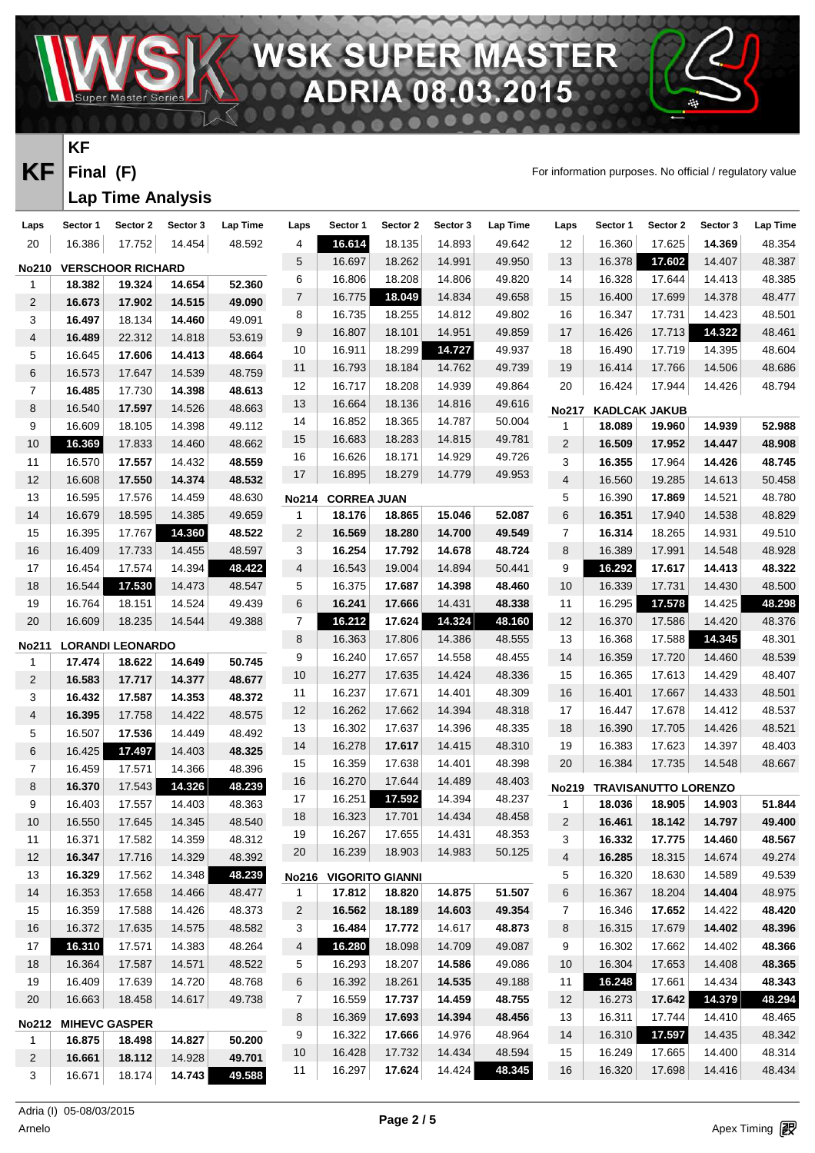**PERMA** 08 03

## **KF**

**Final (F)**

#### **Lap Time Analysis**

VAV.

**KF** Final (F) **Final** For information purposes. No official / regulatory value

癌

R Ξ

| Laps                         | Sector 1 | Sector 2                           | Sector 3 | Lap Time | Laps           | Sector 1           | Sector 2               | Sector 3 | Lap Time | Laps                     | Sector 1 | Sector 2                    | Sector 3 | Lap Time |
|------------------------------|----------|------------------------------------|----------|----------|----------------|--------------------|------------------------|----------|----------|--------------------------|----------|-----------------------------|----------|----------|
| $20\,$                       | 16.386   | 17.752                             | 14.454   | 48.592   | 4              | 16.614             | 18.135                 | 14.893   | 49.642   | 12                       | 16.360   | 17.625                      | 14.369   | 48.354   |
|                              |          |                                    |          |          | 5              | 16.697             | 18.262                 | 14.991   | 49.950   | 13                       | 16.378   | 17.602                      | 14.407   | 48.387   |
| <b>No210</b><br>$\mathbf{1}$ | 18.382   | <b>VERSCHOOR RICHARD</b><br>19.324 | 14.654   | 52.360   | 6              | 16.806             | 18.208                 | 14.806   | 49.820   | 14                       | 16.328   | 17.644                      | 14.413   | 48.385   |
| $\overline{2}$               | 16.673   | 17.902                             | 14.515   | 49.090   | $\overline{7}$ | 16.775             | 18.049                 | 14.834   | 49.658   | 15                       | 16.400   | 17.699                      | 14.378   | 48.477   |
| 3                            | 16.497   | 18.134                             | 14.460   | 49.091   | 8              | 16.735             | 18.255                 | 14.812   | 49.802   | 16                       | 16.347   | 17.731                      | 14.423   | 48.501   |
| $\overline{\mathcal{A}}$     | 16.489   | 22.312                             | 14.818   | 53.619   | 9              | 16.807             | 18.101                 | 14.951   | 49.859   | 17                       | 16.426   | 17.713                      | 14.322   | 48.461   |
| 5                            | 16.645   | 17.606                             | 14.413   | 48.664   | 10             | 16.911             | 18.299                 | 14.727   | 49.937   | 18                       | 16.490   | 17.719                      | 14.395   | 48.604   |
| 6                            | 16.573   | 17.647                             | 14.539   | 48.759   | 11             | 16.793             | 18.184                 | 14.762   | 49.739   | 19                       | 16.414   | 17.766                      | 14.506   | 48.686   |
| $\overline{7}$               | 16.485   | 17.730                             | 14.398   | 48.613   | 12             | 16.717             | 18.208                 | 14.939   | 49.864   | 20                       | 16.424   | 17.944                      | 14.426   | 48.794   |
| 8                            | 16.540   | 17.597                             | 14.526   | 48.663   | 13             | 16.664             | 18.136                 | 14.816   | 49.616   | <b>No217</b>             |          | <b>KADLCAK JAKUB</b>        |          |          |
| 9                            | 16.609   | 18.105                             | 14.398   | 49.112   | 14             | 16.852             | 18.365                 | 14.787   | 50.004   | 1                        | 18.089   | 19.960                      | 14.939   | 52.988   |
| $10\,$                       | 16.369   | 17.833                             | 14.460   | 48.662   | 15             | 16.683             | 18.283                 | 14.815   | 49.781   | $\overline{c}$           | 16.509   | 17.952                      | 14.447   | 48.908   |
| 11                           | 16.570   | 17.557                             | 14.432   | 48.559   | 16             | 16.626             | 18.171                 | 14.929   | 49.726   | 3                        | 16.355   | 17.964                      | 14.426   | 48.745   |
| 12                           | 16.608   | 17.550                             | 14.374   | 48.532   | 17             | 16.895             | 18.279                 | 14.779   | 49.953   | $\overline{\mathcal{L}}$ | 16.560   | 19.285                      | 14.613   | 50.458   |
| 13                           | 16.595   | 17.576                             | 14.459   | 48.630   | <b>No214</b>   | <b>CORREA JUAN</b> |                        |          |          | 5                        | 16.390   | 17.869                      | 14.521   | 48.780   |
| 14                           | 16.679   | 18.595                             | 14.385   | 49.659   | 1              | 18.176             | 18.865                 | 15.046   | 52.087   | 6                        | 16.351   | 17.940                      | 14.538   | 48.829   |
| 15                           | 16.395   | 17.767                             | 14.360   | 48.522   | $\overline{2}$ | 16.569             | 18.280                 | 14.700   | 49.549   | $\overline{7}$           | 16.314   | 18.265                      | 14.931   | 49.510   |
| 16                           | 16.409   | 17.733                             | 14.455   | 48.597   | 3              | 16.254             | 17.792                 | 14.678   | 48.724   | 8                        | 16.389   | 17.991                      | 14.548   | 48.928   |
| 17                           | 16.454   | 17.574                             | 14.394   | 48.422   | 4              | 16.543             | 19.004                 | 14.894   | 50.441   | 9                        | 16.292   | 17.617                      | 14.413   | 48.322   |
| 18                           | 16.544   | 17.530                             | 14.473   | 48.547   | 5              | 16.375             | 17.687                 | 14.398   | 48.460   | 10                       | 16.339   | 17.731                      | 14.430   | 48.500   |
| 19                           | 16.764   | 18.151                             | 14.524   | 49.439   | 6              | 16.241             | 17.666                 | 14.431   | 48.338   | 11                       | 16.295   | 17.578                      | 14.425   | 48.298   |
| 20                           | 16.609   | 18.235                             | 14.544   | 49.388   | $\overline{7}$ | 16.212             | 17.624                 | 14.324   | 48.160   | 12                       | 16.370   | 17.586                      | 14.420   | 48.376   |
|                              |          |                                    |          |          | 8              | 16.363             | 17.806                 | 14.386   | 48.555   | 13                       | 16.368   | 17.588                      | 14.345   | 48.301   |
| <b>No211</b><br>$\mathbf{1}$ | 17.474   | <b>LORANDI LEONARDO</b><br>18.622  | 14.649   | 50.745   | 9              | 16.240             | 17.657                 | 14.558   | 48.455   | 14                       | 16.359   | 17.720                      | 14.460   | 48.539   |
| $\overline{2}$               | 16.583   | 17.717                             | 14.377   | 48.677   | $10$           | 16.277             | 17.635                 | 14.424   | 48.336   | 15                       | 16.365   | 17.613                      | 14.429   | 48.407   |
| 3                            | 16.432   | 17.587                             | 14.353   | 48.372   | 11             | 16.237             | 17.671                 | 14.401   | 48.309   | 16                       | 16.401   | 17.667                      | 14.433   | 48.501   |
| $\overline{\mathcal{A}}$     | 16.395   | 17.758                             | 14.422   | 48.575   | 12             | 16.262             | 17.662                 | 14.394   | 48.318   | 17                       | 16.447   | 17.678                      | 14.412   | 48.537   |
| 5                            | 16.507   | 17.536                             | 14.449   | 48.492   | 13             | 16.302             | 17.637                 | 14.396   | 48.335   | 18                       | 16.390   | 17.705                      | 14.426   | 48.521   |
| 6                            | 16.425   | 17.497                             | 14.403   | 48.325   | 14             | 16.278             | 17.617                 | 14.415   | 48.310   | 19                       | 16.383   | 17.623                      | 14.397   | 48.403   |
| $\overline{7}$               | 16.459   | 17.571                             | 14.366   | 48.396   | 15             | 16.359             | 17.638                 | 14.401   | 48.398   | 20                       | 16.384   | 17.735                      | 14.548   | 48.667   |
| 8                            | 16.370   | 17.543                             | 14.326   | 48.239   | $16$           | 16.270             | 17.644                 | 14.489   | 48.403   | <b>No219</b>             |          | <b>TRAVISANUTTO LORENZO</b> |          |          |
| 9                            | 16.403   | 17.557                             | 14.403   | 48.363   | 17             | 16.251             | 17.592                 | 14.394   | 48.237   | 1                        | 18.036   | 18.905                      | 14.903   | 51.844   |
| 10                           | 16.550   | 17.645                             | 14.345   | 48.540   | 18             | 16.323             | 17.701                 | 14.434   | 48.458   | $\overline{2}$           | 16.461   | 18.142                      | 14.797   | 49.400   |
| 11                           | 16.371   | 17.582                             | 14.359   | 48.312   | 19             | 16.267             | 17.655                 | 14.431   | 48.353   | 3                        | 16.332   | 17.775                      | 14.460   | 48.567   |
| 12                           | 16.347   | 17.716                             | 14.329   | 48.392   | 20             | 16.239             | 18.903                 | 14.983   | 50.125   | 4                        | 16.285   | 18.315                      | 14.674   | 49.274   |
| 13                           | 16.329   | 17.562                             | 14.348   | 48.239   | <b>No216</b>   |                    | <b>VIGORITO GIANNI</b> |          |          | 5                        | 16.320   | 18.630                      | 14.589   | 49.539   |
| 14                           | 16.353   | 17.658                             | 14.466   | 48.477   | $\mathbf{1}$   | 17.812             | 18.820                 | 14.875   | 51.507   | 6                        | 16.367   | 18.204                      | 14.404   | 48.975   |
| 15                           | 16.359   | 17.588                             | 14.426   | 48.373   | $\overline{2}$ | 16.562             | 18.189                 | 14.603   | 49.354   | 7                        | 16.346   | 17.652                      | 14.422   | 48.420   |
| 16                           | 16.372   | 17.635                             | 14.575   | 48.582   | 3              | 16.484             | 17.772                 | 14.617   | 48.873   | 8                        | 16.315   | 17.679                      | 14.402   | 48.396   |
| 17                           | 16.310   | 17.571                             | 14.383   | 48.264   | 4              | 16.280             | 18.098                 | 14.709   | 49.087   | 9                        | 16.302   | 17.662                      | 14.402   | 48.366   |
| 18                           | 16.364   | 17.587                             | 14.571   | 48.522   | 5              | 16.293             | 18.207                 | 14.586   | 49.086   | 10                       | 16.304   | 17.653                      | 14.408   | 48.365   |
| 19                           | 16.409   | 17.639                             | 14.720   | 48.768   | 6              | 16.392             | 18.261                 | 14.535   | 49.188   | 11                       | 16.248   | 17.661                      | 14.434   | 48.343   |
| 20                           | 16.663   | 18.458                             | 14.617   | 49.738   | $\overline{7}$ | 16.559             | 17.737                 | 14.459   | 48.755   | 12                       | 16.273   | 17.642                      | 14.379   | 48.294   |
| No212                        |          | <b>MIHEVC GASPER</b>               |          |          | 8              | 16.369             | 17.693                 | 14.394   | 48.456   | 13                       | 16.311   | 17.744                      | 14.410   | 48.465   |
| $\mathbf{1}$                 | 16.875   | 18.498                             | 14.827   | 50.200   | 9              | 16.322             | 17.666                 | 14.976   | 48.964   | 14                       | 16.310   | 17.597                      | 14.435   | 48.342   |
| 2                            | 16.661   | 18.112                             | 14.928   | 49.701   | 10             | 16.428             | 17.732                 | 14.434   | 48.594   | 15                       | 16.249   | 17.665                      | 14.400   | 48.314   |
| 3                            | 16.671   | 18.174                             | 14.743   | 49.588   | 11             | 16.297             | 17.624                 | 14.424   | 48.345   | 16                       | 16.320   | 17.698                      | 14.416   | 48.434   |
|                              |          |                                    |          |          |                |                    |                        |          |          |                          |          |                             |          |          |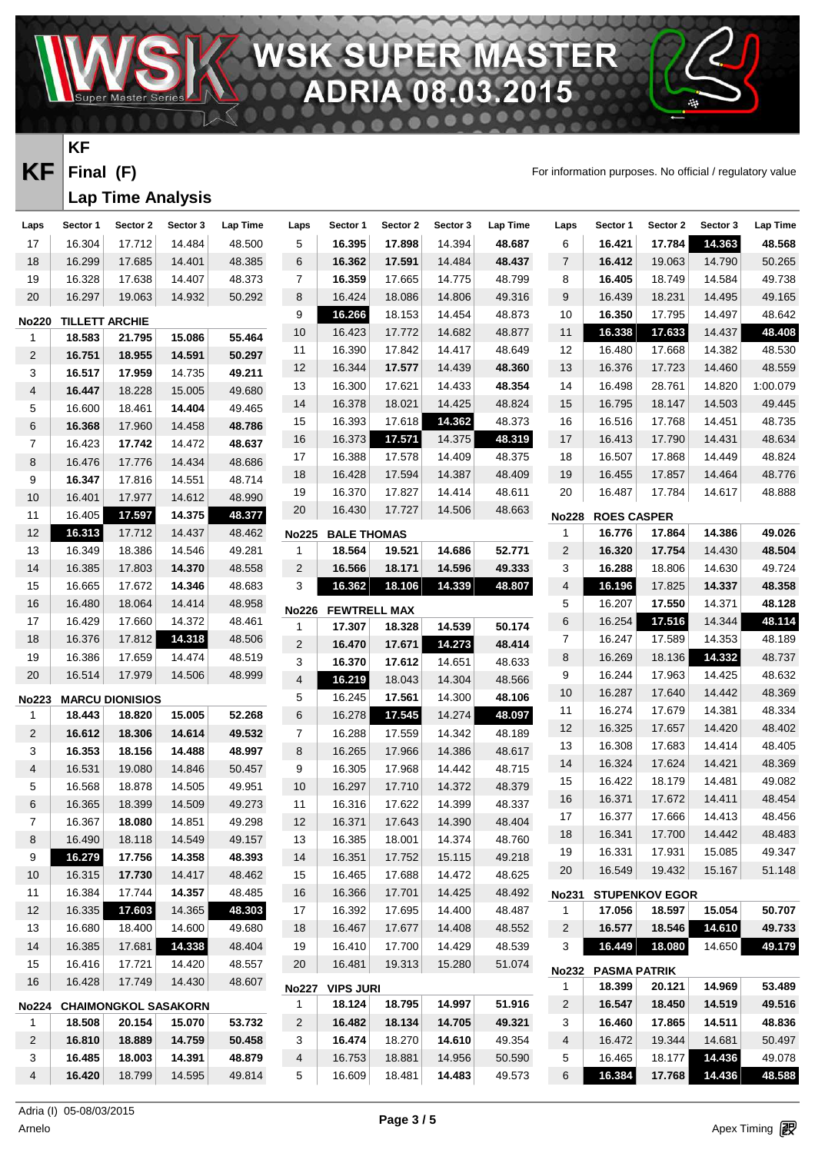**PER MA** 08.03

**KF** Final (F) **Final** For information purposes. No official / regulatory value

癌

R Ξ

# **KF**

**Final (F)**

#### **Lap Time Analysis**

VAV.

| Laps           | Sector 1              | Sector 2                    | Sector 3 | Lap Time | Laps           | Sector 1            | Sector 2 | Sector 3 | Lap Time | Laps           | Sector 1            | Sector 2              | Sector 3 | Lap Time |
|----------------|-----------------------|-----------------------------|----------|----------|----------------|---------------------|----------|----------|----------|----------------|---------------------|-----------------------|----------|----------|
| 17             | 16.304                | 17.712                      | 14.484   | 48.500   | 5              | 16.395              | 17.898   | 14.394   | 48.687   | 6              | 16.421              | 17.784                | 14.363   | 48.568   |
| 18             | 16.299                | 17.685                      | 14.401   | 48.385   | 6              | 16.362              | 17.591   | 14.484   | 48.437   | $\overline{7}$ | 16.412              | 19.063                | 14.790   | 50.265   |
| 19             | 16.328                | 17.638                      | 14.407   | 48.373   | 7              | 16.359              | 17.665   | 14.775   | 48.799   | 8              | 16.405              | 18.749                | 14.584   | 49.738   |
| $20\,$         | 16.297                | 19.063                      | 14.932   | 50.292   | 8              | 16.424              | 18.086   | 14.806   | 49.316   | 9              | 16.439              | 18.231                | 14.495   | 49.165   |
| <b>No220</b>   | <b>TILLETT ARCHIE</b> |                             |          |          | 9              | 16.266              | 18.153   | 14.454   | 48.873   | 10             | 16.350              | 17.795                | 14.497   | 48.642   |
| $\mathbf{1}$   | 18.583                | 21.795                      | 15.086   | 55.464   | $10\,$         | 16.423              | 17.772   | 14.682   | 48.877   | 11             | 16.338              | 17.633                | 14.437   | 48.408   |
| 2              | 16.751                | 18.955                      | 14.591   | 50.297   | 11             | 16.390              | 17.842   | 14.417   | 48.649   | 12             | 16.480              | 17.668                | 14.382   | 48.530   |
| 3              | 16.517                | 17.959                      | 14.735   | 49.211   | 12             | 16.344              | 17.577   | 14.439   | 48.360   | 13             | 16.376              | 17.723                | 14.460   | 48.559   |
| 4              | 16.447                | 18.228                      | 15.005   | 49.680   | 13             | 16.300              | 17.621   | 14.433   | 48.354   | 14             | 16.498              | 28.761                | 14.820   | 1:00.079 |
| 5              | 16.600                | 18.461                      | 14.404   | 49.465   | 14             | 16.378              | 18.021   | 14.425   | 48.824   | 15             | 16.795              | 18.147                | 14.503   | 49.445   |
| $\,6$          | 16.368                | 17.960                      | 14.458   | 48.786   | 15             | 16.393              | 17.618   | 14.362   | 48.373   | 16             | 16.516              | 17.768                | 14.451   | 48.735   |
| $\overline{7}$ | 16.423                | 17.742                      | 14.472   | 48.637   | 16             | 16.373              | 17.571   | 14.375   | 48.319   | 17             | 16.413              | 17.790                | 14.431   | 48.634   |
| 8              | 16.476                | 17.776                      | 14.434   | 48.686   | 17             | 16.388              | 17.578   | 14.409   | 48.375   | 18             | 16.507              | 17.868                | 14.449   | 48.824   |
| 9              | 16.347                | 17.816                      | 14.551   | 48.714   | 18             | 16.428              | 17.594   | 14.387   | 48.409   | 19             | 16.455              | 17.857                | 14.464   | 48.776   |
| 10             | 16.401                | 17.977                      | 14.612   | 48.990   | 19             | 16.370              | 17.827   | 14.414   | 48.611   | 20             | 16.487              | 17.784                | 14.617   | 48.888   |
| 11             | 16.405                | 17.597                      | 14.375   | 48.377   | 20             | 16.430              | 17.727   | 14.506   | 48.663   | <b>No228</b>   | <b>ROES CASPER</b>  |                       |          |          |
| 12             | 16.313                | 17.712                      | 14.437   | 48.462   | <b>No225</b>   | <b>BALE THOMAS</b>  |          |          |          | 1              | 16.776              | 17.864                | 14.386   | 49.026   |
| 13             | 16.349                | 18.386                      | 14.546   | 49.281   | 1              | 18.564              | 19.521   | 14.686   | 52.771   | $\overline{c}$ | 16.320              | 17.754                | 14.430   | 48.504   |
| 14             | 16.385                | 17.803                      | 14.370   | 48.558   | $\overline{2}$ | 16.566              | 18.171   | 14.596   | 49.333   | 3              | 16.288              | 18.806                | 14.630   | 49.724   |
| 15             | 16.665                | 17.672                      | 14.346   | 48.683   | 3              | 16.362              | 18.106   | 14.339   | 48.807   | 4              | 16.196              | 17.825                | 14.337   | 48.358   |
| 16             | 16.480                | 18.064                      | 14.414   | 48.958   | <b>No226</b>   | <b>FEWTRELL MAX</b> |          |          |          | 5              | 16.207              | 17.550                | 14.371   | 48.128   |
| 17             | 16.429                | 17.660                      | 14.372   | 48.461   | 1              | 17.307              | 18.328   | 14.539   | 50.174   | 6              | 16.254              | 17.516                | 14.344   | 48.114   |
| 18             | 16.376                | 17.812                      | 14.318   | 48.506   | $\overline{2}$ | 16.470              | 17.671   | 14.273   | 48.414   | 7              | 16.247              | 17.589                | 14.353   | 48.189   |
| 19             | 16.386                | 17.659                      | 14.474   | 48.519   | 3              | 16.370              | 17.612   | 14.651   | 48.633   | 8              | 16.269              | 18.136                | 14.332   | 48.737   |
| 20             | 16.514                | 17.979                      | 14.506   | 48.999   | $\overline{4}$ | 16.219              | 18.043   | 14.304   | 48.566   | 9              | 16.244              | 17.963                | 14.425   | 48.632   |
| <b>No223</b>   |                       | <b>MARCU DIONISIOS</b>      |          |          | 5              | 16.245              | 17.561   | 14.300   | 48.106   | 10             | 16.287              | 17.640                | 14.442   | 48.369   |
| $\mathbf{1}$   | 18.443                | 18.820                      | 15.005   | 52.268   | 6              | 16.278              | 17.545   | 14.274   | 48.097   | 11             | 16.274              | 17.679                | 14.381   | 48.334   |
| 2              | 16.612                | 18.306                      | 14.614   | 49.532   | 7              | 16.288              | 17.559   | 14.342   | 48.189   | 12             | 16.325              | 17.657                | 14.420   | 48.402   |
| 3              | 16.353                | 18.156                      | 14.488   | 48.997   | 8              | 16.265              | 17.966   | 14.386   | 48.617   | 13             | 16.308              | 17.683                | 14.414   | 48.405   |
| 4              | 16.531                | 19.080                      | 14.846   | 50.457   | 9              | 16.305              | 17.968   | 14.442   | 48.715   | 14             | 16.324              | 17.624                | 14.421   | 48.369   |
| 5              | 16.568                | 18.878                      | 14.505   | 49.951   | 10             | 16.297              | 17.710   | 14.372   | 48.379   | 15             | 16.422              | 18.179                | 14.481   | 49.082   |
| 6              | 16.365                | 18.399                      | 14.509   | 49.273   | 11             | 16.316              | 17.622   | 14.399   | 48.337   | 16             | 16.371              | 17.672                | 14.411   | 48.454   |
| $\overline{7}$ | 16.367                | 18.080                      | 14.851   | 49.298   | 12             | 16.371              | 17.643   | 14.390   | 48.404   | 17             | 16.377              | 17.666                | 14.413   | 48.456   |
| 8              | 16.490                | 18.118                      | 14.549   | 49.157   | 13             | 16.385              | 18.001   | 14.374   | 48.760   | 18             | 16.341              | 17.700                | 14.442   | 48.483   |
| 9              | 16.279                | 17.756                      | 14.358   | 48.393   | 14             | 16.351              | 17.752   | 15.115   | 49.218   | 19             | 16.331              | 17.931                | 15.085   | 49.347   |
| 10             | 16.315                | 17.730                      | 14.417   | 48.462   | 15             | 16.465              | 17.688   | 14.472   | 48.625   | 20             | 16.549              | 19.432                | 15.167   | 51.148   |
| 11             | 16.384                | 17.744                      | 14.357   | 48.485   | 16             | 16.366              | 17.701   | 14.425   | 48.492   | <b>No231</b>   |                     | <b>STUPENKOV EGOR</b> |          |          |
| 12             | 16.335                | 17.603                      | 14.365   | 48.303   | 17             | 16.392              | 17.695   | 14.400   | 48.487   | $\mathbf{1}$   | 17.056              | 18.597                | 15.054   | 50.707   |
| 13             | 16.680                | 18.400                      | 14.600   | 49.680   | 18             | 16.467              | 17.677   | 14.408   | 48.552   | 2              | 16.577              | 18.546                | 14.610   | 49.733   |
| 14             | 16.385                | 17.681                      | 14.338   | 48.404   | 19             | 16.410              | 17.700   | 14.429   | 48.539   | 3              | 16.449              | 18.080                | 14.650   | 49.179   |
| 15             | 16.416                | 17.721                      | 14.420   | 48.557   | 20             | 16.481              | 19.313   | 15.280   | 51.074   | <b>No232</b>   | <b>PASMA PATRIK</b> |                       |          |          |
| 16             | 16.428                | 17.749                      | 14.430   | 48.607   | <b>No227</b>   | <b>VIPS JURI</b>    |          |          |          | 1              | 18.399              | 20.121                | 14.969   | 53.489   |
| <b>No224</b>   |                       | <b>CHAIMONGKOL SASAKORN</b> |          |          | 1              | 18.124              | 18.795   | 14.997   | 51.916   | 2              | 16.547              | 18.450                | 14.519   | 49.516   |
| 1              | 18.508                | 20.154                      | 15.070   | 53.732   | 2              | 16.482              | 18.134   | 14.705   | 49.321   | 3              | 16.460              | 17.865                | 14.511   | 48.836   |
| 2              | 16.810                | 18.889                      | 14.759   | 50.458   | 3              | 16.474              | 18.270   | 14.610   | 49.354   | 4              | 16.472              | 19.344                | 14.681   | 50.497   |
| 3              | 16.485                | 18.003                      | 14.391   | 48.879   | 4              | 16.753              | 18.881   | 14.956   | 50.590   | 5              | 16.465              | 18.177                | 14.436   | 49.078   |
| 4              | 16.420                | 18.799                      | 14.595   | 49.814   | 5              | 16.609              | 18.481   | 14.483   | 49.573   | 6              | 16.384              | 17.768                | 14.436   | 48.588   |
|                |                       |                             |          |          |                |                     |          |          |          |                |                     |                       |          |          |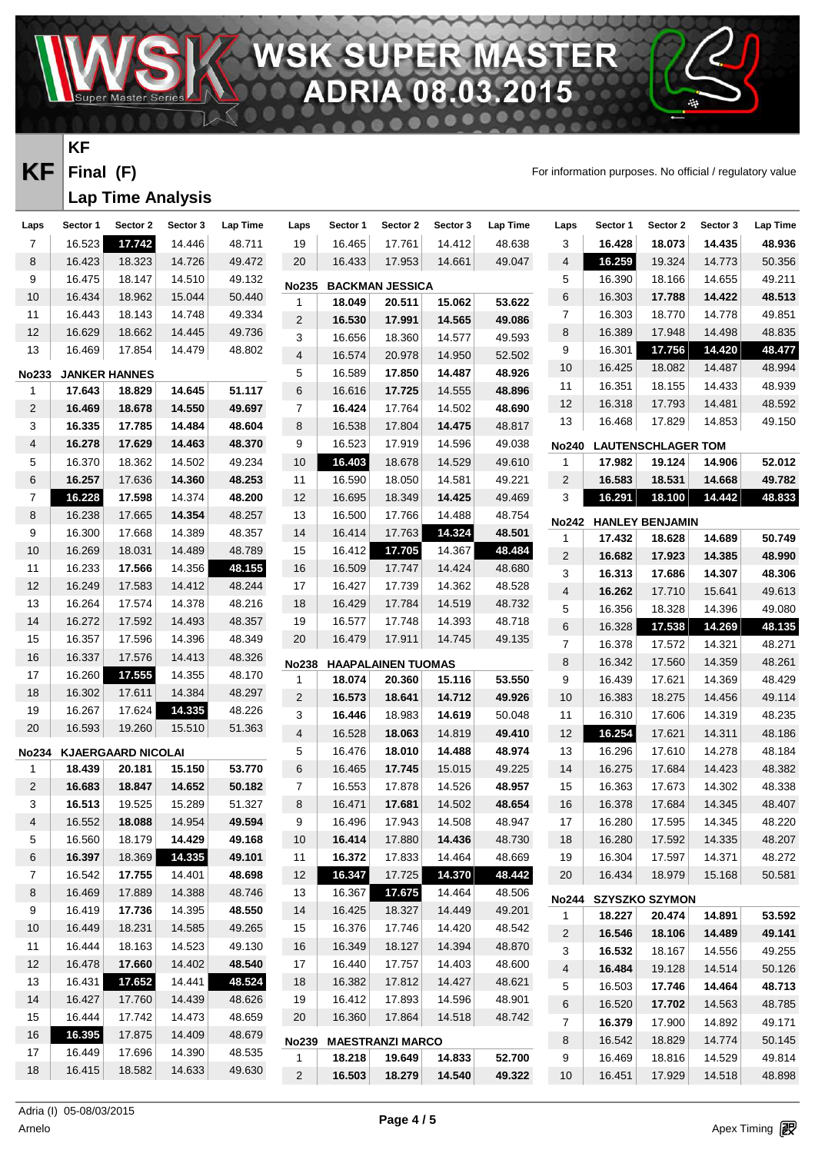$\mathbf{D}$ **RANTI** ∕▲ n я

**KF** Final (F) **Final** For information purposes. No official / regulatory value

癌

R

#### **KF Final (F)**

# **Lap Time Analysis**

| Laps           | Sector 1             | Sector 2                  | Sector 3 | Lap Time | Laps              | Sector 1 | Sector 2                  | Sector 3 | Lap Time | Laps             | Sector 1               | Sector 2                  | Sector 3 | <b>Lap Time</b> |
|----------------|----------------------|---------------------------|----------|----------|-------------------|----------|---------------------------|----------|----------|------------------|------------------------|---------------------------|----------|-----------------|
| $\overline{7}$ | 16.523               | 17.742                    | 14.446   | 48.711   | 19                | 16.465   | 17.761                    | 14.412   | 48.638   | 3                | 16.428                 | 18.073                    | 14.435   | 48.936          |
| 8              | 16.423               | 18.323                    | 14.726   | 49.472   | 20                | 16.433   | 17.953                    | 14.661   | 49.047   | $\overline{4}$   | 16.259                 | 19.324                    | 14.773   | 50.356          |
| 9              | 16.475               | 18.147                    | 14.510   | 49.132   | <b>No235</b>      |          | <b>BACKMAN JESSICA</b>    |          |          | 5                | 16.390                 | 18.166                    | 14.655   | 49.211          |
| 10             | 16.434               | 18.962                    | 15.044   | 50.440   | 1                 | 18.049   | 20.511                    | 15.062   | 53.622   | 6                | 16.303                 | 17.788                    | 14.422   | 48.513          |
| 11             | 16.443               | 18.143                    | 14.748   | 49.334   | 2                 | 16.530   | 17.991                    | 14.565   | 49.086   | $\boldsymbol{7}$ | 16.303                 | 18.770                    | 14.778   | 49.851          |
| 12             | 16.629               | 18.662                    | 14.445   | 49.736   | 3                 | 16.656   | 18.360                    | 14.577   | 49.593   | 8                | 16.389                 | 17.948                    | 14.498   | 48.835          |
| 13             | 16.469               | 17.854                    | 14.479   | 48.802   | 4                 | 16.574   | 20.978                    | 14.950   | 52.502   | $\boldsymbol{9}$ | 16.301                 | 17.756                    | 14.420   | 48.477          |
| <b>No233</b>   | <b>JANKER HANNES</b> |                           |          |          | 5                 | 16.589   | 17.850                    | 14.487   | 48.926   | 10               | 16.425                 | 18.082                    | 14.487   | 48.994          |
| 1              | 17.643               | 18.829                    | 14.645   | 51.117   | 6                 | 16.616   | 17.725                    | 14.555   | 48.896   | 11               | 16.351                 | 18.155                    | 14.433   | 48.939          |
| $\overline{2}$ | 16.469               | 18.678                    | 14.550   | 49.697   | $\overline{7}$    | 16.424   | 17.764                    | 14.502   | 48.690   | 12               | 16.318                 | 17.793                    | 14.481   | 48.592          |
| 3              | 16.335               | 17.785                    | 14.484   | 48.604   | 8                 | 16.538   | 17.804                    | 14.475   | 48.817   | 13               | 16.468                 | 17.829                    | 14.853   | 49.150          |
| 4              | 16.278               | 17.629                    | 14.463   | 48.370   | 9                 | 16.523   | 17.919                    | 14.596   | 49.038   | <b>No240</b>     |                        | <b>LAUTENSCHLAGER TOM</b> |          |                 |
| 5              | 16.370               | 18.362                    | 14.502   | 49.234   | 10                | 16.403   | 18.678                    | 14.529   | 49.610   | 1                | 17.982                 | 19.124                    | 14.906   | 52.012          |
| $\,6$          | 16.257               | 17.636                    | 14.360   | 48.253   | 11                | 16.590   | 18.050                    | 14.581   | 49.221   | $\overline{2}$   | 16.583                 | 18.531                    | 14.668   | 49.782          |
| 7              | 16.228               | 17.598                    | 14.374   | 48.200   | 12                | 16.695   | 18.349                    | 14.425   | 49.469   | 3                | 16.291                 | 18.100                    | 14.442   | 48.833          |
| 8              | 16.238               | 17.665                    | 14.354   | 48.257   | 13                | 16.500   | 17.766                    | 14.488   | 48.754   | <b>No242</b>     | <b>HANLEY BENJAMIN</b> |                           |          |                 |
| 9              | 16.300               | 17.668                    | 14.389   | 48.357   | 14                | 16.414   | 17.763                    | 14.324   | 48.501   | 1                | 17.432                 | 18.628                    | 14.689   | 50.749          |
| 10             | 16.269               | 18.031                    | 14.489   | 48.789   | 15                | 16.412   | 17.705                    | 14.367   | 48.484   | $\sqrt{2}$       | 16.682                 | 17.923                    | 14.385   | 48.990          |
| 11             | 16.233               | 17.566                    | 14.356   | 48.155   | 16                | 16.509   | 17.747                    | 14.424   | 48.680   | 3                | 16.313                 | 17.686                    | 14.307   | 48.306          |
| $12$           | 16.249               | 17.583                    | 14.412   | 48.244   | 17                | 16.427   | 17.739                    | 14.362   | 48.528   | $\overline{4}$   | 16.262                 | 17.710                    | 15.641   | 49.613          |
| 13             | 16.264               | 17.574                    | 14.378   | 48.216   | 18                | 16.429   | 17.784                    | 14.519   | 48.732   | 5                | 16.356                 | 18.328                    | 14.396   | 49.080          |
| 14             | 16.272               | 17.592                    | 14.493   | 48.357   | 19                | 16.577   | 17.748                    | 14.393   | 48.718   | $\,6$            | 16.328                 | 17.538                    | 14.269   | 48.135          |
| 15             | 16.357               | 17.596                    | 14.396   | 48.349   | $20\,$            | 16.479   | 17.911                    | 14.745   | 49.135   | $\boldsymbol{7}$ | 16.378                 | 17.572                    | 14.321   | 48.271          |
| 16             | 16.337               | 17.576                    | 14.413   | 48.326   | <b>No238</b>      |          | <b>HAAPALAINEN TUOMAS</b> |          |          | 8                | 16.342                 | 17.560                    | 14.359   | 48.261          |
| 17             | 16.260               | 17.555                    | 14.355   | 48.170   | $\mathbf{1}$      | 18.074   | 20.360                    | 15.116   | 53.550   | 9                | 16.439                 | 17.621                    | 14.369   | 48.429          |
| 18             | 16.302               | 17.611                    | 14.384   | 48.297   | $\overline{2}$    | 16.573   | 18.641                    | 14.712   | 49.926   | $10$             | 16.383                 | 18.275                    | 14.456   | 49.114          |
| 19             | 16.267               | 17.624                    | 14.335   | 48.226   | 3                 | 16.446   | 18.983                    | 14.619   | 50.048   | 11               | 16.310                 | 17.606                    | 14.319   | 48.235          |
| $20\,$         | 16.593               | 19.260                    | 15.510   | 51.363   | 4                 | 16.528   | 18.063                    | 14.819   | 49.410   | 12               | 16.254                 | 17.621                    | 14.311   | 48.186          |
| <b>No234</b>   |                      | <b>KJAERGAARD NICOLAI</b> |          |          | 5                 | 16.476   | 18.010                    | 14.488   | 48.974   | 13               | 16.296                 | 17.610                    | 14.278   | 48.184          |
| 1              | 18.439               | 20.181                    | 15.150   | 53.770   | 6                 | 16.465   | 17.745                    | 15.015   | 49.225   | 14               | 16.275                 | 17.684                    | 14.423   | 48.382          |
| $\overline{2}$ | 16.683               | 18.847                    | 14.652   | 50.182   | $\overline{7}$    | 16.553   | 17.878                    | 14.526   | 48.957   | 15               | 16.363                 | 17.673                    | 14.302   | 48.338          |
| 3              | 16.513               | 19.525                    | 15.289   | 51.327   | 8                 | 16.471   | 17.681                    | 14.502   | 48.654   | 16               | 16.378                 | 17.684                    | 14.345   | 48.407          |
| 4              | 16.552               | 18.088                    | 14.954   | 49.594   | 9                 | 16.496   | 17.943                    | 14.508   | 48.947   | 17               | 16.280                 | 17.595                    | 14.345   | 48.220          |
| 5              | 16.560               | 18.179                    | 14.429   | 49.168   | 10                | 16.414   | 17.880                    | 14.436   | 48.730   | 18               | 16.280                 | 17.592                    | 14.335   | 48.207          |
| 6              | 16.397               | 18.369                    | 14.335   | 49.101   | 11                | 16.372   | 17.833                    | 14.464   | 48.669   | 19               | 16.304                 | 17.597                    | 14.371   | 48.272          |
| $\overline{7}$ | 16.542               | 17.755                    | 14.401   | 48.698   | $12 \overline{ }$ | 16.347   | 17.725                    | 14.370   | 48.442   | 20               | 16.434                 | 18.979                    | 15.168   | 50.581          |
| 8              | 16.469               | 17.889                    | 14.388   | 48.746   | 13                | 16.367   | 17.675                    | 14.464   | 48.506   | <b>No244</b>     |                        | <b>SZYSZKO SZYMON</b>     |          |                 |
| 9              | 16.419               | 17.736                    | 14.395   | 48.550   | 14                | 16.425   | 18.327                    | 14.449   | 49.201   | 1                | 18.227                 | 20.474                    | 14.891   | 53.592          |
| 10             | 16.449               | 18.231                    | 14.585   | 49.265   | 15                | 16.376   | 17.746                    | 14.420   | 48.542   | $\overline{c}$   | 16.546                 | 18.106                    | 14.489   | 49.141          |
| 11             | 16.444               | 18.163                    | 14.523   | 49.130   | 16                | 16.349   | 18.127                    | 14.394   | 48.870   | 3                | 16.532                 | 18.167                    | 14.556   | 49.255          |
| 12             | 16.478               | 17.660                    | 14.402   | 48.540   | 17                | 16.440   | 17.757                    | 14.403   | 48.600   | 4                | 16.484                 | 19.128                    | 14.514   | 50.126          |
| 13             | 16.431               | 17.652                    | 14.441   | 48.524   | 18                | 16.382   | 17.812                    | 14.427   | 48.621   | 5                | 16.503                 | 17.746                    | 14.464   | 48.713          |
| 14             | 16.427               | 17.760                    | 14.439   | 48.626   | 19                | 16.412   | 17.893                    | 14.596   | 48.901   | 6                | 16.520                 | 17.702                    | 14.563   | 48.785          |
| 15             | 16.444               | 17.742                    | 14.473   | 48.659   | 20                | 16.360   | 17.864                    | 14.518   | 48.742   | $\overline{7}$   | 16.379                 | 17.900                    | 14.892   | 49.171          |
| 16             | 16.395               | 17.875                    | 14.409   | 48.679   | <b>No239</b>      |          | <b>MAESTRANZI MARCO</b>   |          |          | 8                | 16.542                 | 18.829                    | 14.774   | 50.145          |
| 17             | 16.449               | 17.696                    | 14.390   | 48.535   | 1                 | 18.218   | 19.649                    | 14.833   | 52.700   | 9                | 16.469                 | 18.816                    | 14.529   | 49.814          |
| 18             | 16.415               | 18.582                    | 14.633   | 49.630   | $\overline{2}$    | 16.503   | 18.279                    | 14.540   | 49.322   | 10               | 16.451                 | 17.929                    | 14.518   | 48.898          |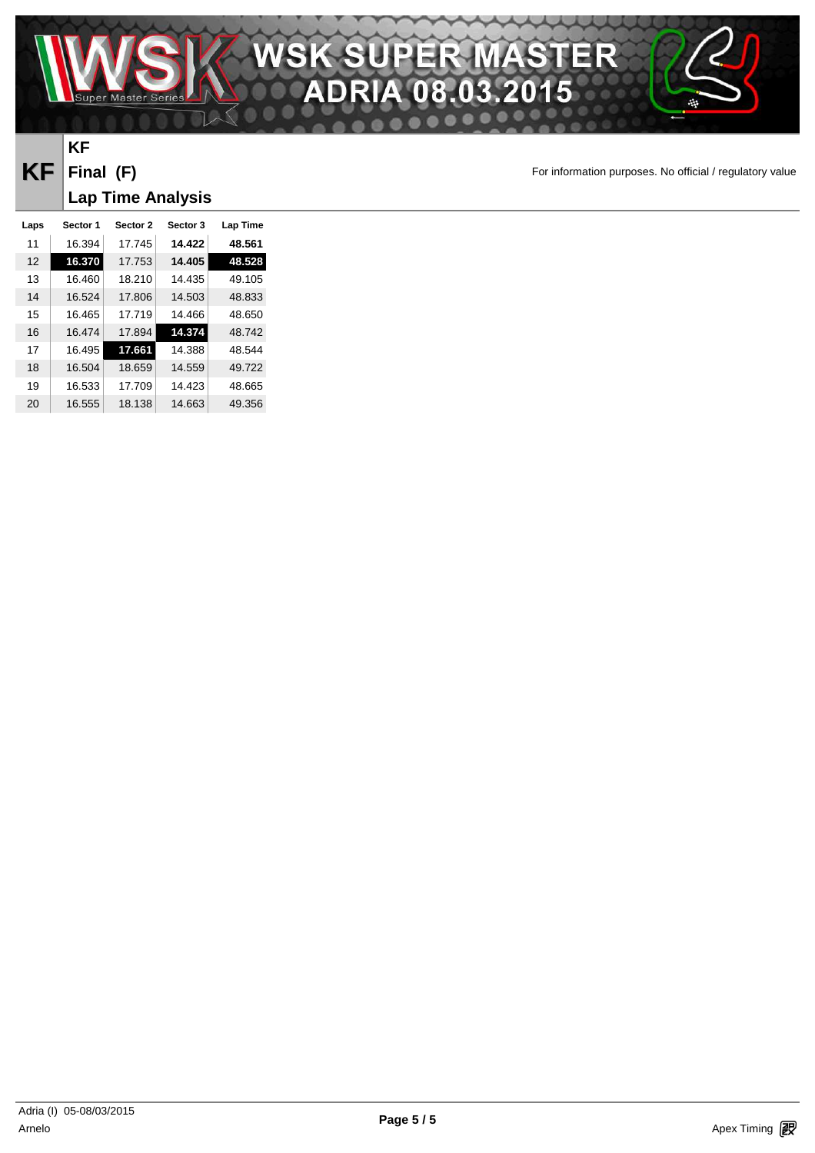

## **KF Final (F) Lap Time Analysis**

**KF** Final (F) **Final** For information purposes. No official / regulatory value

| Laps | Sector 1 | <b>Sector 2</b> | Sector 3 | Lap Time |
|------|----------|-----------------|----------|----------|
| 11   | 16.394   | 17.745          | 14.422   | 48.561   |
| 12   | 16.370   | 17.753          | 14.405   | 48.528   |
| 13   | 16.460   | 18.210          | 14.435   | 49.105   |
| 14   | 16.524   | 17.806          | 14.503   | 48.833   |
| 15   | 16.465   | 17.719          | 14.466   | 48.650   |
| 16   | 16.474   | 17.894          | 14.374   | 48.742   |
| 17   | 16.495   | 17.661          | 14.388   | 48.544   |
| 18   | 16.504   | 18.659          | 14.559   | 49.722   |
| 19   | 16.533   | 17.709          | 14.423   | 48.665   |
| 20   | 16.555   | 18.138          | 14.663   | 49.356   |